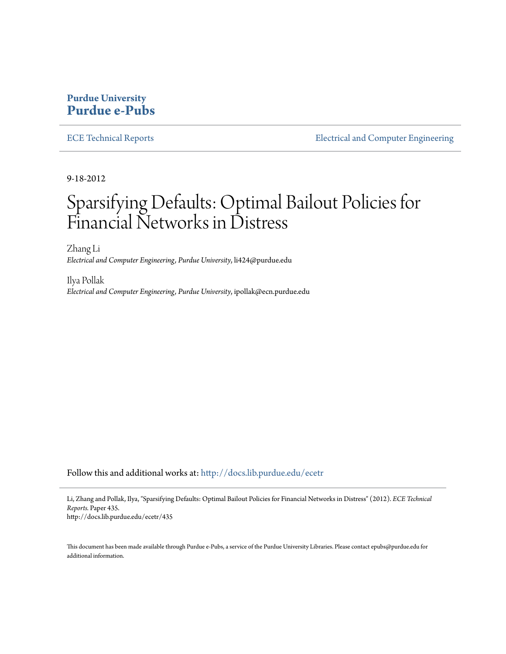## **Purdue University [Purdue e-Pubs](http://docs.lib.purdue.edu?utm_source=docs.lib.purdue.edu%2Fecetr%2F435&utm_medium=PDF&utm_campaign=PDFCoverPages)**

[ECE Technical Reports](http://docs.lib.purdue.edu/ecetr?utm_source=docs.lib.purdue.edu%2Fecetr%2F435&utm_medium=PDF&utm_campaign=PDFCoverPages) **[Electrical and Computer Engineering](http://docs.lib.purdue.edu/ece?utm_source=docs.lib.purdue.edu%2Fecetr%2F435&utm_medium=PDF&utm_campaign=PDFCoverPages)** 

9-18-2012

# Sparsifying Defaults: Optimal Bailout Policies for Financial Networks in Distress

Zhang Li *Electrical and Computer Engineering, Purdue University*, li424@purdue.edu

Ilya Pollak *Electrical and Computer Engineering, Purdue University*, ipollak@ecn.purdue.edu

Follow this and additional works at: [http://docs.lib.purdue.edu/ecetr](http://docs.lib.purdue.edu/ecetr?utm_source=docs.lib.purdue.edu%2Fecetr%2F435&utm_medium=PDF&utm_campaign=PDFCoverPages)

Li, Zhang and Pollak, Ilya, "Sparsifying Defaults: Optimal Bailout Policies for Financial Networks in Distress" (2012). *ECE Technical Reports.* Paper 435. http://docs.lib.purdue.edu/ecetr/435

This document has been made available through Purdue e-Pubs, a service of the Purdue University Libraries. Please contact epubs@purdue.edu for additional information.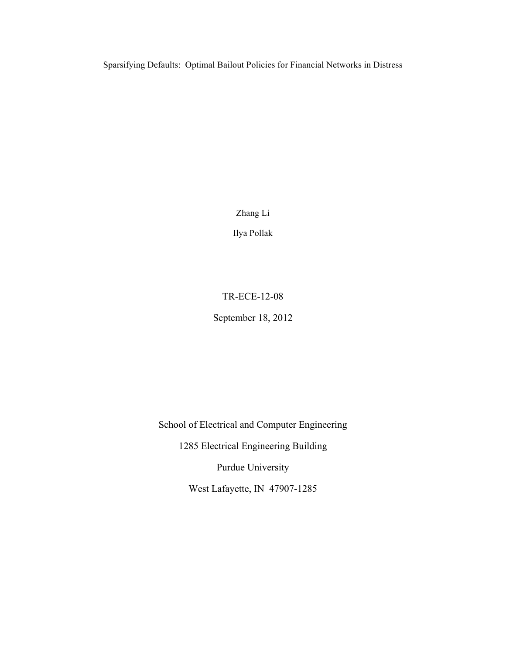Sparsifying Defaults: Optimal Bailout Policies for Financial Networks in Distress

Zhang Li

Ilya Pollak

## TR-ECE-12-08

September 18, 2012

School of Electrical and Computer Engineering 1285 Electrical Engineering Building

Purdue University

West Lafayette, IN 47907-1285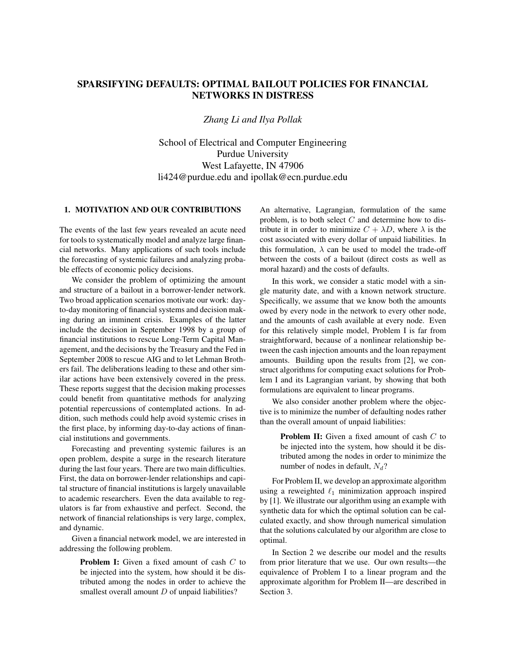### SPARSIFYING DEFAULTS: OPTIMAL BAILOUT POLICIES FOR FINANCIAL NETWORKS IN DISTRESS

#### *Zhang Li and Ilya Pollak*

School of Electrical and Computer Engineering Purdue University West Lafayette, IN 47906 li424@purdue.edu and ipollak@ecn.purdue.edu

#### 1. MOTIVATION AND OUR CONTRIBUTIONS

The events of the last few years revealed an acute need for tools to systematically model and analyze large financial networks. Many applications of such tools include the forecasting of systemic failures and analyzing probable effects of economic policy decisions.

We consider the problem of optimizing the amount and structure of a bailout in a borrower-lender network. Two broad application scenarios motivate our work: dayto-day monitoring of financial systems and decision making during an imminent crisis. Examples of the latter include the decision in September 1998 by a group of financial institutions to rescue Long-Term Capital Management, and the decisions by the Treasury and the Fed in September 2008 to rescue AIG and to let Lehman Brothers fail. The deliberations leading to these and other similar actions have been extensively covered in the press. These reports suggest that the decision making processes could benefit from quantitative methods for analyzing potential repercussions of contemplated actions. In addition, such methods could help avoid systemic crises in the first place, by informing day-to-day actions of financial institutions and governments.

Forecasting and preventing systemic failures is an open problem, despite a surge in the research literature during the last four years. There are two main difficulties. First, the data on borrower-lender relationships and capital structure of financial institutions is largely unavailable to academic researchers. Even the data available to regulators is far from exhaustive and perfect. Second, the network of financial relationships is very large, complex, and dynamic.

Given a financial network model, we are interested in addressing the following problem.

> Problem I: Given a fixed amount of cash C to be injected into the system, how should it be distributed among the nodes in order to achieve the smallest overall amount  $D$  of unpaid liabilities?

An alternative, Lagrangian, formulation of the same problem, is to both select  $C$  and determine how to distribute it in order to minimize  $C + \lambda D$ , where  $\lambda$  is the cost associated with every dollar of unpaid liabilities. In this formulation,  $\lambda$  can be used to model the trade-off between the costs of a bailout (direct costs as well as moral hazard) and the costs of defaults.

In this work, we consider a static model with a single maturity date, and with a known network structure. Specifically, we assume that we know both the amounts owed by every node in the network to every other node, and the amounts of cash available at every node. Even for this relatively simple model, Problem I is far from straightforward, because of a nonlinear relationship between the cash injection amounts and the loan repayment amounts. Building upon the results from [2], we construct algorithms for computing exact solutions for Problem I and its Lagrangian variant, by showing that both formulations are equivalent to linear programs.

We also consider another problem where the objective is to minimize the number of defaulting nodes rather than the overall amount of unpaid liabilities:

> **Problem II:** Given a fixed amount of cash C to be injected into the system, how should it be distributed among the nodes in order to minimize the number of nodes in default,  $N_d$ ?

For Problem II, we develop an approximate algorithm using a reweighted  $\ell_1$  minimization approach inspired by [1]. We illustrate our algorithm using an example with synthetic data for which the optimal solution can be calculated exactly, and show through numerical simulation that the solutions calculated by our algorithm are close to optimal.

In Section 2 we describe our model and the results from prior literature that we use. Our own results—the equivalence of Problem I to a linear program and the approximate algorithm for Problem II—are described in Section 3.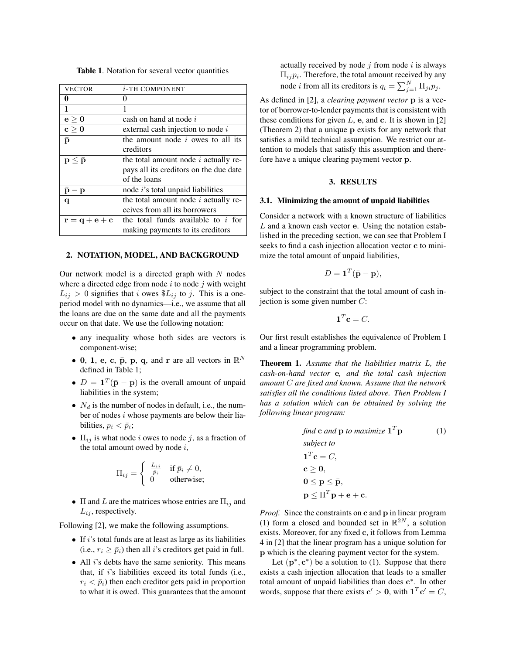| VECTOR                                              | $i$ -TH COMPONENT                         |
|-----------------------------------------------------|-------------------------------------------|
| 0                                                   | $\Omega$                                  |
| 1                                                   | 1                                         |
| e > 0                                               | cash on hand at node i                    |
| $\mathbf{c} \geq \mathbf{0}$                        | external cash injection to node $i$       |
| p                                                   | the amount node $i$ owes to all its       |
|                                                     | creditors                                 |
| $\mathbf{p} \leq \bar{\mathbf{p}}$                  | the total amount node $i$ actually re-    |
|                                                     | pays all its creditors on the due date    |
|                                                     | of the loans                              |
| $\bar{\mathbf{p}} - \mathbf{p}$                     | node <i>i</i> 's total unpaid liabilities |
| q                                                   | the total amount node $i$ actually re-    |
|                                                     | ceives from all its borrowers             |
| $\mathbf{r} = \mathbf{q} + \mathbf{e} + \mathbf{c}$ | the total funds available to $i$ for      |
|                                                     | making payments to its creditors          |

Table 1. Notation for several vector quantities

#### 2. NOTATION, MODEL, AND BACKGROUND

Our network model is a directed graph with  $N$  nodes where a directed edge from node  $i$  to node  $j$  with weight  $L_{ij} > 0$  signifies that i owes  $\$_{L_{ij}}$  to j. This is a oneperiod model with no dynamics—i.e., we assume that all the loans are due on the same date and all the payments occur on that date. We use the following notation:

- any inequality whose both sides are vectors is component-wise;
- 0, 1, e, c,  $\bar{p}$ , p, q, and r are all vectors in  $\mathbb{R}^N$ defined in Table 1;
- $D = \mathbf{1}^T(\bar{\mathbf{p}} \mathbf{p})$  is the overall amount of unpaid liabilities in the system;
- $N_d$  is the number of nodes in default, i.e., the number of nodes i whose payments are below their liabilities,  $p_i < \bar{p}_i$ ;
- $\Pi_{ij}$  is what node i owes to node j, as a fraction of the total amount owed by node  $i$ ,

$$
\Pi_{ij} = \begin{cases} \frac{L_{ij}}{\bar{p}_i} & \text{if } \bar{p}_i \neq 0, \\ 0 & \text{otherwise}; \end{cases}
$$

•  $\Pi$  and  $L$  are the matrices whose entries are  $\Pi_{ij}$  and  $L_{ij}$ , respectively.

Following [2], we make the following assumptions.

- $\bullet$  If *i*'s total funds are at least as large as its liabilities (i.e.,  $r_i \ge \bar{p}_i$ ) then all *i*'s creditors get paid in full.
- All *i*'s debts have the same seniority. This means that, if  $i$ 's liabilities exceed its total funds (i.e.,  $r_i < \bar{p}_i$ ) then each creditor gets paid in proportion to what it is owed. This guarantees that the amount

actually received by node  $i$  from node  $i$  is always  $\Pi_{ij}p_i$ . Therefore, the total amount received by any node *i* from all its creditors is  $q_i = \sum_{j=1}^{N} \prod_{ji} p_j$ .

As defined in [2], a *clearing payment vector* p is a vector of borrower-to-lender payments that is consistent with these conditions for given  $L$ , e, and c. It is shown in [2] (Theorem 2) that a unique p exists for any network that satisfies a mild technical assumption. We restrict our attention to models that satisfy this assumption and therefore have a unique clearing payment vector p.

#### 3. RESULTS

#### 3.1. Minimizing the amount of unpaid liabilities

Consider a network with a known structure of liabilities  $L$  and a known cash vector e. Using the notation established in the preceding section, we can see that Problem I seeks to find a cash injection allocation vector c to minimize the total amount of unpaid liabilities,

$$
D = \mathbf{1}^T(\bar{\mathbf{p}} - \mathbf{p}),
$$

subject to the constraint that the total amount of cash injection is some given number  $C$ :

$$
\mathbf{1}^T \mathbf{c} = C.
$$

Our first result establishes the equivalence of Problem I and a linear programming problem.

Theorem 1. *Assume that the liabilities matrix* L*, the cash-on-hand vector* e*, and the total cash injection amount* C *are fixed and known. Assume that the network satisfies all the conditions listed above. Then Problem I has a solution which can be obtained by solving the following linear program:*

find c and p to maximize 
$$
\mathbf{1}^T \mathbf{p}
$$
 (1)  
\nsubject to  
\n $\mathbf{1}^T \mathbf{c} = C$ ,  
\n $\mathbf{c} \geq \mathbf{0}$ ,  
\n $\mathbf{0} \leq \mathbf{p} \leq \bar{\mathbf{p}}$ ,  
\n $\mathbf{p} \leq \Pi^T \mathbf{p} + \mathbf{e} + \mathbf{c}$ .

*Proof.* Since the constraints on c and p in linear program (1) form a closed and bounded set in  $\mathbb{R}^{2N}$ , a solution exists. Moreover, for any fixed c, it follows from Lemma 4 in [2] that the linear program has a unique solution for p which is the clearing payment vector for the system.

Let  $(p^*, c^*)$  be a solution to (1). Suppose that there exists a cash injection allocation that leads to a smaller total amount of unpaid liabilities than does c<sup>∗</sup>. In other words, suppose that there exists  $c' > 0$ , with  $\mathbf{1}^T \mathbf{c}' = C$ ,